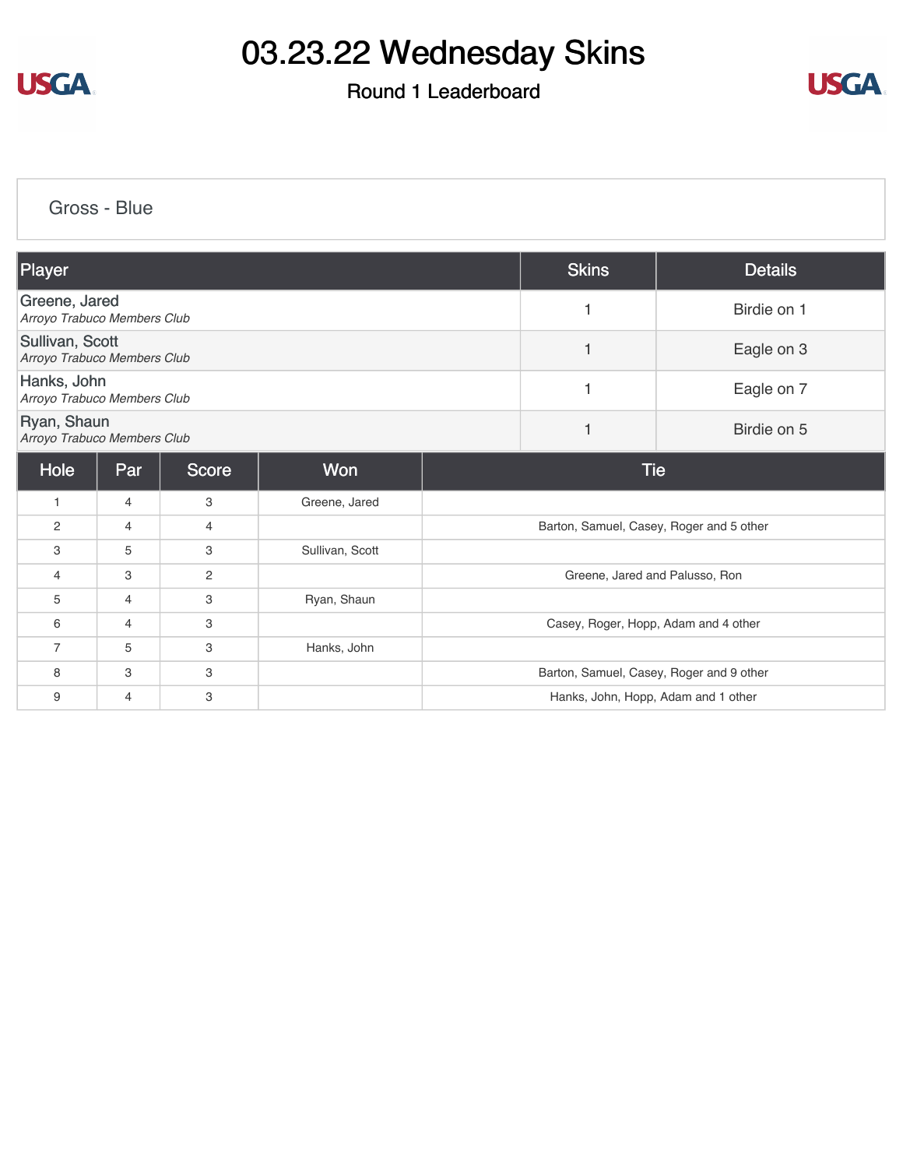

## Round 1 Leaderboard



[Gross - Blue](https://cdn2.golfgenius.com/v2tournaments/8321767999610577377?called_from=&round_index=1)

| Player                                         |                |              |                 | <b>Skins</b>                             | <b>Details</b> |             |  |  |
|------------------------------------------------|----------------|--------------|-----------------|------------------------------------------|----------------|-------------|--|--|
| Greene, Jared<br>Arroyo Trabuco Members Club   |                |              |                 | 1                                        | Birdie on 1    |             |  |  |
| Sullivan, Scott<br>Arroyo Trabuco Members Club |                |              |                 | 1                                        | Eagle on 3     |             |  |  |
| Hanks, John<br>Arroyo Trabuco Members Club     |                |              |                 | 1                                        | Eagle on 7     |             |  |  |
| Ryan, Shaun<br>Arroyo Trabuco Members Club     |                |              |                 |                                          | 1              | Birdie on 5 |  |  |
| Hole                                           | Par            | <b>Score</b> | Won             | <b>Tie</b>                               |                |             |  |  |
| 1                                              | $\overline{4}$ | 3            | Greene, Jared   |                                          |                |             |  |  |
| 2                                              | 4              | 4            |                 | Barton, Samuel, Casey, Roger and 5 other |                |             |  |  |
| 3                                              | 5              | 3            | Sullivan, Scott |                                          |                |             |  |  |
| 4                                              | 3              | 2            |                 | Greene, Jared and Palusso, Ron           |                |             |  |  |
| 5                                              | $\overline{4}$ | 3            | Ryan, Shaun     |                                          |                |             |  |  |
| 6                                              | $\overline{4}$ | 3            |                 | Casey, Roger, Hopp, Adam and 4 other     |                |             |  |  |
| $\overline{7}$                                 | 5              | 3            | Hanks, John     |                                          |                |             |  |  |
| 8                                              | 3              | 3            |                 | Barton, Samuel, Casey, Roger and 9 other |                |             |  |  |
| 9                                              | 4              | 3            |                 | Hanks, John, Hopp, Adam and 1 other      |                |             |  |  |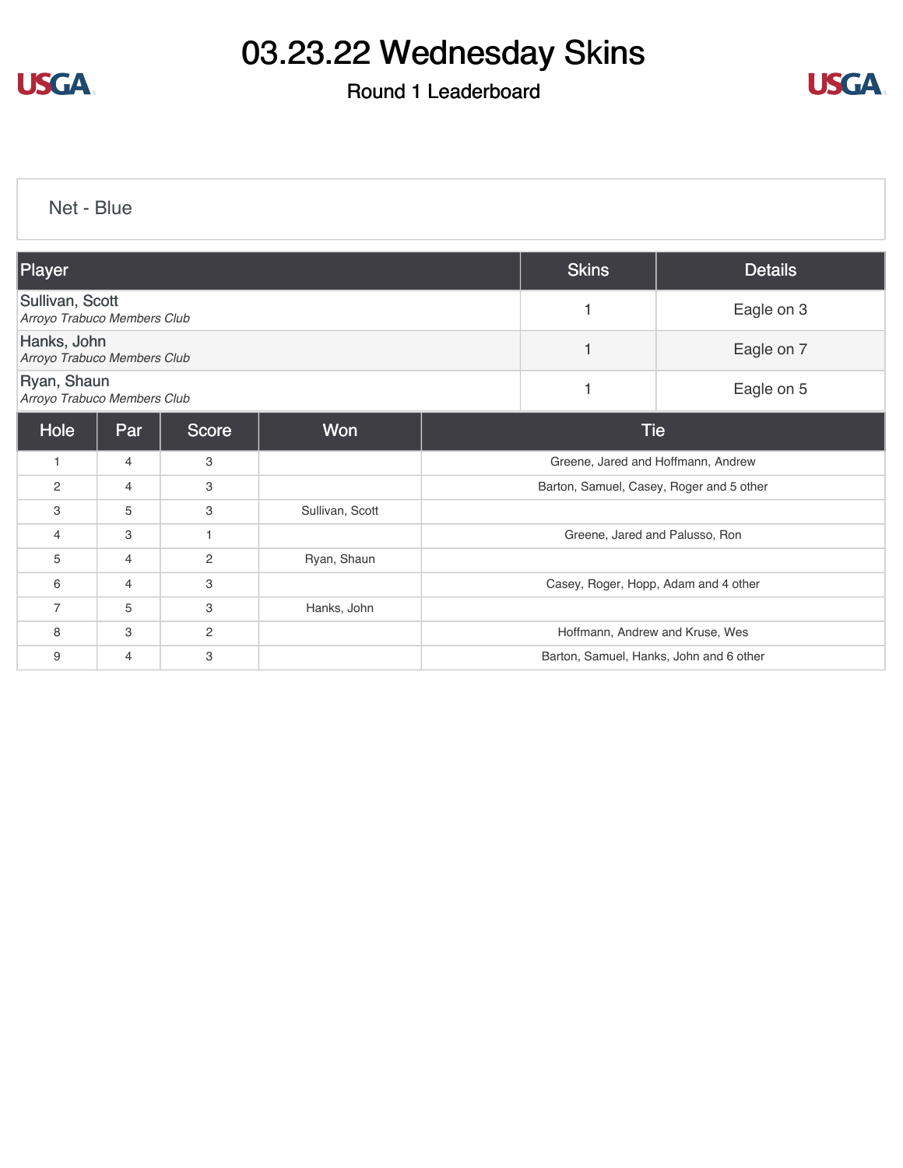

## Round 1 Leaderboard



[Net - Blue](https://cdn2.golfgenius.com/v2tournaments/8321769320514347490?called_from=&round_index=1)

| Player                                         |                |              |                 | <b>Skins</b>                             | <b>Details</b> |            |  |  |
|------------------------------------------------|----------------|--------------|-----------------|------------------------------------------|----------------|------------|--|--|
| Sullivan, Scott<br>Arroyo Trabuco Members Club |                |              |                 |                                          |                | Eagle on 3 |  |  |
| Hanks, John<br>Arroyo Trabuco Members Club     |                |              |                 |                                          |                | Eagle on 7 |  |  |
| Ryan, Shaun<br>Arroyo Trabuco Members Club     |                |              |                 |                                          | 1              | Eagle on 5 |  |  |
| Hole                                           | Par            | <b>Score</b> | <b>Won</b>      | <b>Tie</b>                               |                |            |  |  |
| 1                                              | $\overline{4}$ | 3            |                 | Greene, Jared and Hoffmann, Andrew       |                |            |  |  |
| $\overline{2}$                                 | 4              | 3            |                 | Barton, Samuel, Casey, Roger and 5 other |                |            |  |  |
| 3                                              | 5              | 3            | Sullivan, Scott |                                          |                |            |  |  |
| $\overline{4}$                                 | 3              | $\mathbf{1}$ |                 | Greene, Jared and Palusso, Ron           |                |            |  |  |
| 5                                              | $\overline{4}$ | $\mathbf{2}$ | Ryan, Shaun     |                                          |                |            |  |  |
| 6                                              | 4              | 3            |                 | Casey, Roger, Hopp, Adam and 4 other     |                |            |  |  |
| $\overline{7}$                                 | 5              | 3            | Hanks, John     |                                          |                |            |  |  |
| 8                                              | 3              | $\mathbf{2}$ |                 | Hoffmann, Andrew and Kruse, Wes          |                |            |  |  |
| 9                                              | 4              | 3            |                 | Barton, Samuel, Hanks, John and 6 other  |                |            |  |  |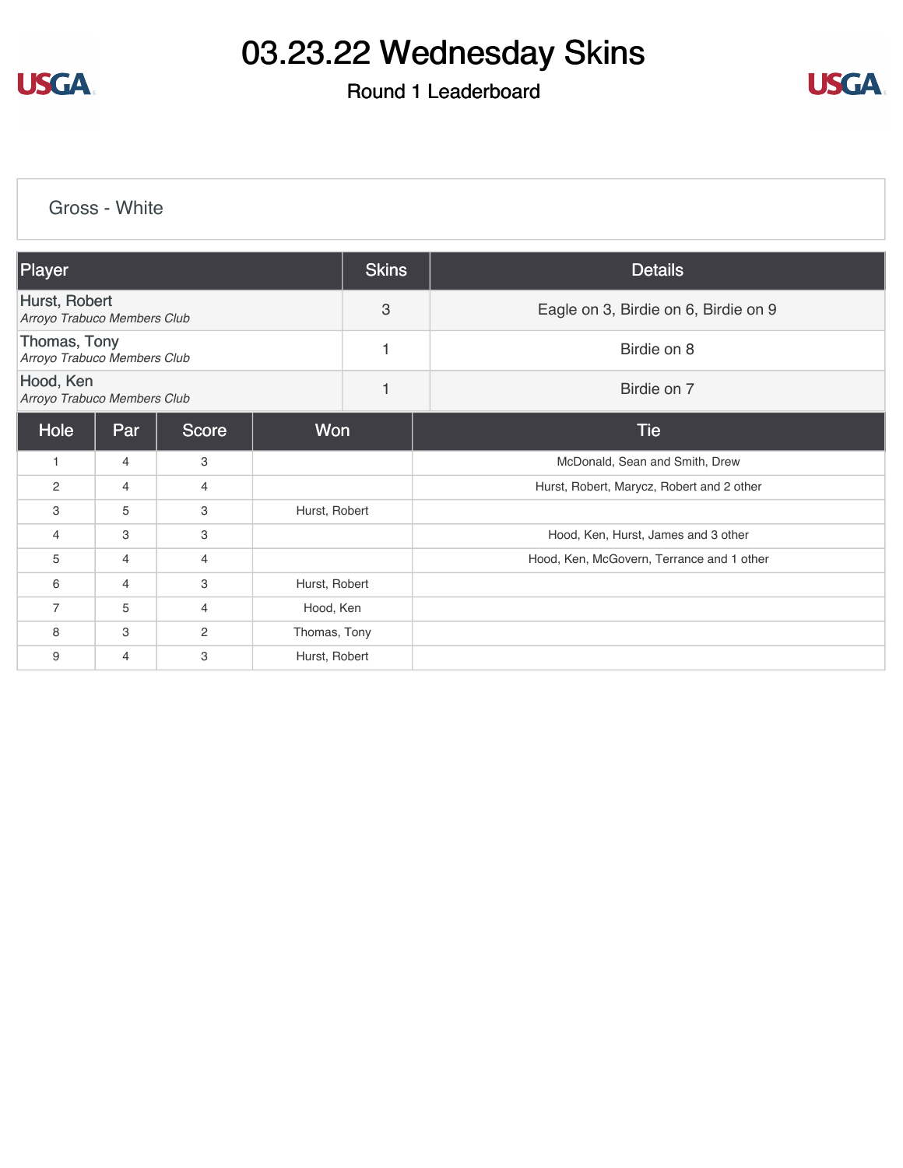

## Round 1 Leaderboard



[Gross - White](https://cdn2.golfgenius.com/v2tournaments/8321770590113391075?called_from=&round_index=1)

| Player                                       |                |       |               | <b>Skins</b> | <b>Details</b>                            |  |  |
|----------------------------------------------|----------------|-------|---------------|--------------|-------------------------------------------|--|--|
| Hurst, Robert<br>Arroyo Trabuco Members Club |                |       |               | 3            | Eagle on 3, Birdie on 6, Birdie on 9      |  |  |
| Thomas, Tony<br>Arroyo Trabuco Members Club  |                |       |               |              | Birdie on 8                               |  |  |
| Hood, Ken<br>Arroyo Trabuco Members Club     |                |       |               | $\mathbf{1}$ | Birdie on 7                               |  |  |
| Hole                                         | Par            | Score | <b>Won</b>    |              | <b>Tie</b>                                |  |  |
| $\overline{1}$                               | $\overline{4}$ | 3     |               |              | McDonald, Sean and Smith, Drew            |  |  |
| $\overline{2}$                               | $\overline{4}$ | 4     |               |              | Hurst, Robert, Marycz, Robert and 2 other |  |  |
| 3                                            | 5              | 3     | Hurst, Robert |              |                                           |  |  |
| $\overline{4}$                               | 3              | 3     |               |              | Hood, Ken, Hurst, James and 3 other       |  |  |
| 5                                            | $\overline{4}$ | 4     |               |              | Hood, Ken, McGovern, Terrance and 1 other |  |  |
| 6                                            | $\overline{4}$ | 3     | Hurst, Robert |              |                                           |  |  |
| $\overline{7}$                               | 5              | 4     | Hood, Ken     |              |                                           |  |  |
| 8                                            | 3              | 2     | Thomas, Tony  |              |                                           |  |  |
| 9                                            | $\overline{4}$ | 3     | Hurst, Robert |              |                                           |  |  |